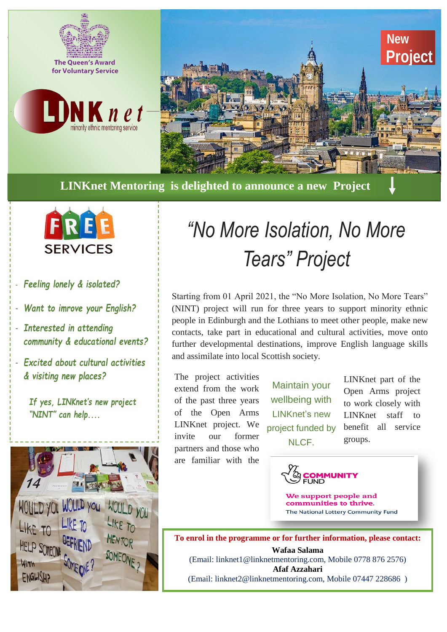





**LINKnet Mentoring is delighted to announce a new Project** 



- *Feeling lonely & isolated?*

- *Want to imrove your English?*

- *Interested in attending community & educational events?*

- *Excited about cultural activities & visiting new places?*

*If yes, LINKnet's new project "NINT" can help....*



# *"No More Isolation, No More Tears" Project*

Starting from 01 April 2021, the "No More Isolation, No More Tears" (NINT) project will run for three years to support minority ethnic people in Edinburgh and the Lothians to meet other people, make new contacts, take part in educational and cultural activities, move onto further developmental destinations, improve English language skills and assimilate into local Scottish society.

The project activities extend from the work of the past three years of the Open Arms LINKnet project. We invite our former partners and those who are familiar with the

Maintain your wellbeing with LINKnet's new project funded by NLCF.

LINKnet part of the Open Arms project to work closely with LINKnet staff to benefit all service groups.



We support people and communities to thrive. The National Lottery Community Fund

**To enrol in the programme or for further information, please contact: Wafaa Salama** (Email: linknet1@linknetmentoring.com, Mobile 0778 876 2576) **Afaf Azzahari** (Email: linknet2@linknetmentoring.com, Mobile 07447 228686 )